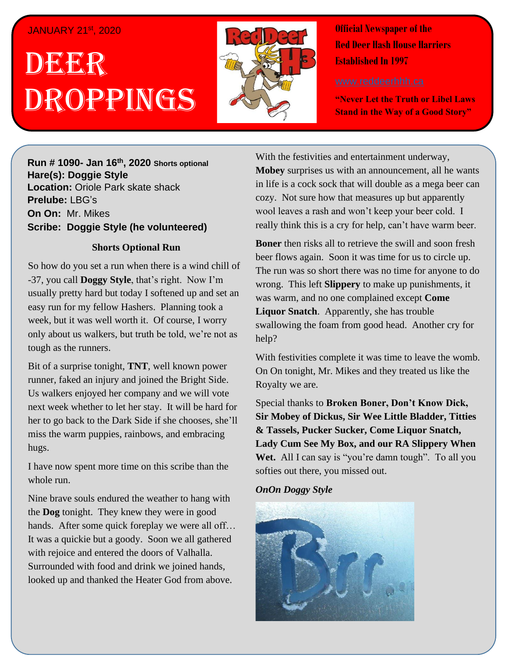### JANUARY 21st , 2020

# . 1 DEER , 2018 Droppings



**Official Newspaper of the Red Deer Hash House Harriers Established In 1997** 

**"Never Let the Truth or Libel Laws Stand in the Way of a Good Story"**

**Run # 1075- Oct. 3 rd, 2019 Hare(s): Deep Throat with a little help from her Run # 1090- Jan 16th, 2020 Shorts optional virgin friend Hare(s): Doggie Style Location:** Oriole Park skate shack **Prelube:** LBG's **On On: Mr. Mikes Sir Siri** Mil. Milles Chief A **Scribe: Doggie Style (he volunteered)** 

## *work and <b>Shorts Optional Run Run*

So how do you set a run when there is a wind chill of -37, you call **Doggy Style**, that's right. Now I'm usually pretty hard but today I softened up and set an week, but it was well worth it. Of course, I worry only about us walkers, but truth be told, we're not as **We tough as the runners.** Brown Bones, Sir **Sir** *S* easy run for my fellow Hashers. Planning took a

Bit of a surprise tonight, **TNT**, well known power runner, faked an injury and joined the Bright Side. Us walkers enjoyed her company and we will vote her to go back to the Dark Side if she chooses, she'll miss the warm puppies, rainbows, and embracing *daily self-improvement?* hugs. next week whether to let her stay. It will be hard for

I have now spent more time on this scribe than the made that said, "the top ten the top ten that she does that she does that she does that she does that she does that she does that she does that she does that she does that she does that she does that she does that she doe whole run.

Nine brave souls endured the weather to hang with the **Dog** tonight. They knew they were in good It was a quickie but a goody. Soon we all gathered with rejoice and entered the doors of Valhalla. Surrounded with food and drink we joined hands, looked up and thanked the Heater God from above. hands. After some quick foreplay we were all off...

With the festivities and entertainment underway, **Mobey** surprises us with an announcement, all he wants in life is a cock sock that will double as a mega beer can cozy. Not sure how that measures up but apparently wool leaves a rash and won't keep your beer cold. I really think this is a cry for help, can't have warm beer.

**Boner** then risks all to retrieve the swill and soon fresh beer flows again. Soon it was time for us to circle up. The run was so short there was no time for anyone to do wrong. This left **Slippery** to make up punishments, it was warm, and no one complained except **Come Liquor Snatch**. Apparently, she has trouble swallowing the foam from good head. Another cry for help?

With festivities complete it was time to leave the womb. On On tonight, Mr. Mikes and they treated us like the Royalty we are.

Special thanks to **Broken Boner, Don't Know Dick, Sir Mobey of Dickus, Sir Wee Little Bladder, Titties & Tassels, Pucker Sucker, Come Liquor Snatch, Lady Cum See My Box, and our RA Slippery When**  Wet. All I can say is "you're damn tough". To all you softies out there, you missed out.

### *OnOn Doggy Style*